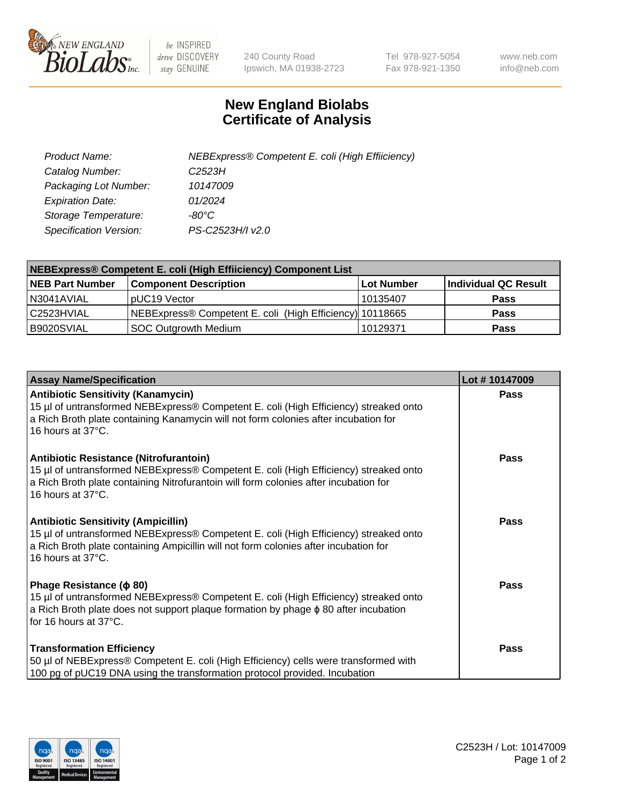

 $be$  INSPIRED drive DISCOVERY stay GENUINE

240 County Road Ipswich, MA 01938-2723 Tel 978-927-5054 Fax 978-921-1350 www.neb.com info@neb.com

## **New England Biolabs Certificate of Analysis**

| Product Name:                 | NEBExpress® Competent E. coli (High Effiiciency) |
|-------------------------------|--------------------------------------------------|
| Catalog Number:               | C <sub>2523</sub> H                              |
| Packaging Lot Number:         | 10147009                                         |
| <b>Expiration Date:</b>       | 01/2024                                          |
| Storage Temperature:          | -80°C                                            |
| <b>Specification Version:</b> | PS-C2523H/I v2.0                                 |

| NEBExpress® Competent E. coli (High Effiiciency) Component List |                                                          |            |                      |  |
|-----------------------------------------------------------------|----------------------------------------------------------|------------|----------------------|--|
| <b>NEB Part Number</b>                                          | <b>Component Description</b>                             | Lot Number | Individual QC Result |  |
| N3041AVIAL                                                      | pUC19 Vector                                             | l 10135407 | <b>Pass</b>          |  |
| l C2523HVIAL                                                    | NEBExpress® Competent E. coli (High Efficiency) 10118665 |            | <b>Pass</b>          |  |
| B9020SVIAL                                                      | <b>SOC Outgrowth Medium</b>                              | 10129371   | <b>Pass</b>          |  |

| <b>Assay Name/Specification</b>                                                                                                                                                                                                                 | Lot #10147009 |
|-------------------------------------------------------------------------------------------------------------------------------------------------------------------------------------------------------------------------------------------------|---------------|
| <b>Antibiotic Sensitivity (Kanamycin)</b><br>15 µl of untransformed NEBExpress® Competent E. coli (High Efficiency) streaked onto<br>a Rich Broth plate containing Kanamycin will not form colonies after incubation for<br>16 hours at 37°C.   | <b>Pass</b>   |
| Antibiotic Resistance (Nitrofurantoin)<br>15 µl of untransformed NEBExpress® Competent E. coli (High Efficiency) streaked onto<br>a Rich Broth plate containing Nitrofurantoin will form colonies after incubation for<br>16 hours at 37°C.     | Pass          |
| <b>Antibiotic Sensitivity (Ampicillin)</b><br>15 µl of untransformed NEBExpress® Competent E. coli (High Efficiency) streaked onto<br>a Rich Broth plate containing Ampicillin will not form colonies after incubation for<br>16 hours at 37°C. | Pass          |
| Phage Resistance ( $\phi$ 80)<br>15 µl of untransformed NEBExpress® Competent E. coli (High Efficiency) streaked onto<br>a Rich Broth plate does not support plaque formation by phage $\phi$ 80 after incubation<br>for 16 hours at 37°C.      | Pass          |
| <b>Transformation Efficiency</b><br>50 µl of NEBExpress® Competent E. coli (High Efficiency) cells were transformed with<br>100 pg of pUC19 DNA using the transformation protocol provided. Incubation                                          | Pass          |